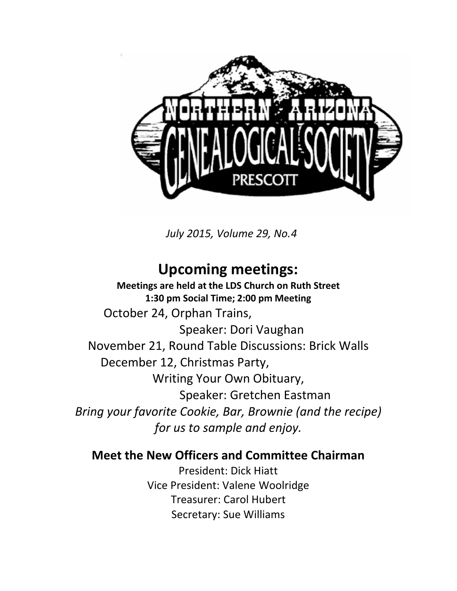

 *July 2015, Volume 29, No.4*

# **Upcoming meetings:**

**Meetings are held at the LDS Church on Ruth Street 1:30 pm Social Time; 2:00 pm Meeting** October 24, Orphan Trains, Speaker: Dori Vaughan November 21, Round Table Discussions: Brick Walls December 12, Christmas Party, Writing Your Own Obituary, Speaker: Gretchen Eastman *Bring your favorite Cookie, Bar, Brownie (and the recipe) for us to sample and enjoy.*

## **Meet the New Officers and Committee Chairman**

President: Dick Hiatt Vice President: Valene Woolridge Treasurer: Carol Hubert Secretary: Sue Williams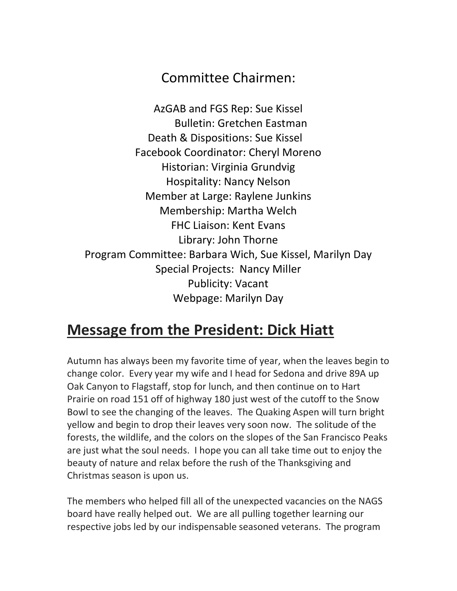# Committee Chairmen:

AzGAB and FGS Rep: Sue Kissel Bulletin: Gretchen Eastman Death & Dispositions: Sue Kissel Facebook Coordinator: Cheryl Moreno Historian: Virginia Grundvig Hospitality: Nancy Nelson Member at Large: Raylene Junkins Membership: Martha Welch FHC Liaison: Kent Evans Library: John Thorne Program Committee: Barbara Wich, Sue Kissel, Marilyn Day Special Projects: Nancy Miller Publicity: Vacant Webpage: Marilyn Day

# **Message from the President: Dick Hiatt**

Autumn has always been my favorite time of year, when the leaves begin to change color. Every year my wife and I head for Sedona and drive 89A up Oak Canyon to Flagstaff, stop for lunch, and then continue on to Hart Prairie on road 151 off of highway 180 just west of the cutoff to the Snow Bowl to see the changing of the leaves. The Quaking Aspen will turn bright yellow and begin to drop their leaves very soon now. The solitude of the forests, the wildlife, and the colors on the slopes of the San Francisco Peaks are just what the soul needs. I hope you can all take time out to enjoy the beauty of nature and relax before the rush of the Thanksgiving and Christmas season is upon us.

The members who helped fill all of the unexpected vacancies on the NAGS board have really helped out. We are all pulling together learning our respective jobs led by our indispensable seasoned veterans. The program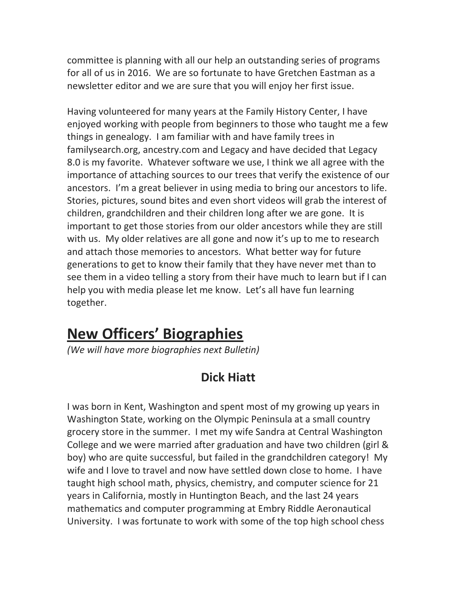committee is planning with all our help an outstanding series of programs for all of us in 2016. We are so fortunate to have Gretchen Eastman as a newsletter editor and we are sure that you will enjoy her first issue.

Having volunteered for many years at the Family History Center, I have enjoyed working with people from beginners to those who taught me a few things in genealogy. I am familiar with and have family trees in familysearch.org, ancestry.com and Legacy and have decided that Legacy 8.0 is my favorite. Whatever software we use, I think we all agree with the importance of attaching sources to our trees that verify the existence of our ancestors. I'm a great believer in using media to bring our ancestors to life. Stories, pictures, sound bites and even short videos will grab the interest of children, grandchildren and their children long after we are gone. It is important to get those stories from our older ancestors while they are still with us. My older relatives are all gone and now it's up to me to research and attach those memories to ancestors. What better way for future generations to get to know their family that they have never met than to see them in a video telling a story from their have much to learn but if I can help you with media please let me know. Let's all have fun learning together.

# **New Officers' Biographies**

*(We will have more biographies next Bulletin)*

## **Dick Hiatt**

I was born in Kent, Washington and spent most of my growing up years in Washington State, working on the Olympic Peninsula at a small country grocery store in the summer. I met my wife Sandra at Central Washington College and we were married after graduation and have two children (girl & boy) who are quite successful, but failed in the grandchildren category! My wife and I love to travel and now have settled down close to home. I have taught high school math, physics, chemistry, and computer science for 21 years in California, mostly in Huntington Beach, and the last 24 years mathematics and computer programming at Embry Riddle Aeronautical University. I was fortunate to work with some of the top high school chess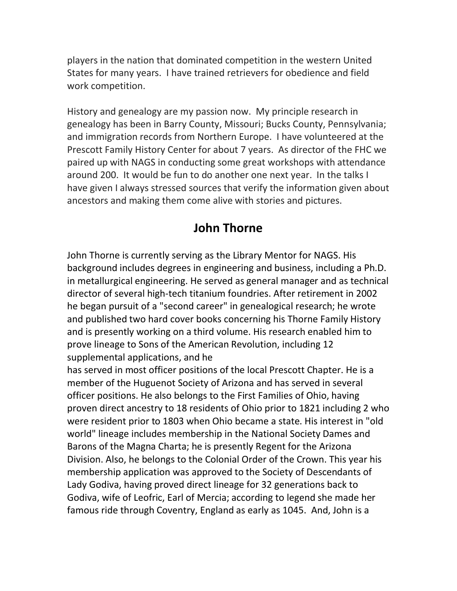players in the nation that dominated competition in the western United States for many years. I have trained retrievers for obedience and field work competition.

History and genealogy are my passion now. My principle research in genealogy has been in Barry County, Missouri; Bucks County, Pennsylvania; and immigration records from Northern Europe. I have volunteered at the Prescott Family History Center for about 7 years. As director of the FHC we paired up with NAGS in conducting some great workshops with attendance around 200. It would be fun to do another one next year. In the talks I have given I always stressed sources that verify the information given about ancestors and making them come alive with stories and pictures.

### **John Thorne**

John Thorne is currently serving as the Library Mentor for NAGS. His background includes degrees in engineering and business, including a Ph.D. in metallurgical engineering. He served as general manager and as technical director of several high-tech titanium foundries. After retirement in 2002 he began pursuit of a "second career" in genealogical research; he wrote and published two hard cover books concerning his Thorne Family History and is presently working on a third volume. His research enabled him to prove lineage to Sons of the American Revolution, including 12 supplemental applications, and he

has served in most officer positions of the local Prescott Chapter. He is a member of the Huguenot Society of Arizona and has served in several officer positions. He also belongs to the First Families of Ohio, having proven direct ancestry to 18 residents of Ohio prior to 1821 including 2 who were resident prior to 1803 when Ohio became a state. His interest in "old world" lineage includes membership in the National Society Dames and Barons of the Magna Charta; he is presently Regent for the Arizona Division. Also, he belongs to the Colonial Order of the Crown. This year his membership application was approved to the Society of Descendants of Lady Godiva, having proved direct lineage for 32 generations back to Godiva, wife of Leofric, Earl of Mercia; according to legend she made her famous ride through Coventry, England as early as 1045. And, John is a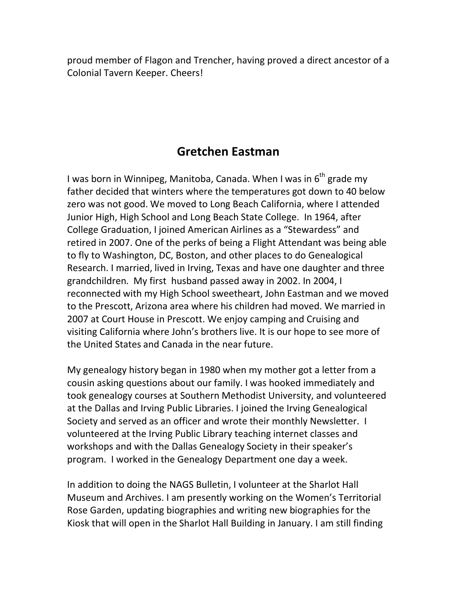proud member of Flagon and Trencher, having proved a direct ancestor of a Colonial Tavern Keeper. Cheers!

## **Gretchen Eastman**

I was born in Winnipeg, Manitoba, Canada. When I was in  $6<sup>th</sup>$  grade my father decided that winters where the temperatures got down to 40 below zero was not good. We moved to Long Beach California, where I attended Junior High, High School and Long Beach State College. In 1964, after College Graduation, I joined American Airlines as a "Stewardess" and retired in 2007. One of the perks of being a Flight Attendant was being able to fly to Washington, DC, Boston, and other places to do Genealogical Research. I married, lived in Irving, Texas and have one daughter and three grandchildren. My first husband passed away in 2002. In 2004, I reconnected with my High School sweetheart, John Eastman and we moved to the Prescott, Arizona area where his children had moved. We married in 2007 at Court House in Prescott. We enjoy camping and Cruising and visiting California where John's brothers live. It is our hope to see more of the United States and Canada in the near future.

My genealogy history began in 1980 when my mother got a letter from a cousin asking questions about our family. I was hooked immediately and took genealogy courses at Southern Methodist University, and volunteered at the Dallas and Irving Public Libraries. I joined the Irving Genealogical Society and served as an officer and wrote their monthly Newsletter. I volunteered at the Irving Public Library teaching internet classes and workshops and with the Dallas Genealogy Society in their speaker's program. I worked in the Genealogy Department one day a week.

In addition to doing the NAGS Bulletin, I volunteer at the Sharlot Hall Museum and Archives. I am presently working on the Women's Territorial Rose Garden, updating biographies and writing new biographies for the Kiosk that will open in the Sharlot Hall Building in January. I am still finding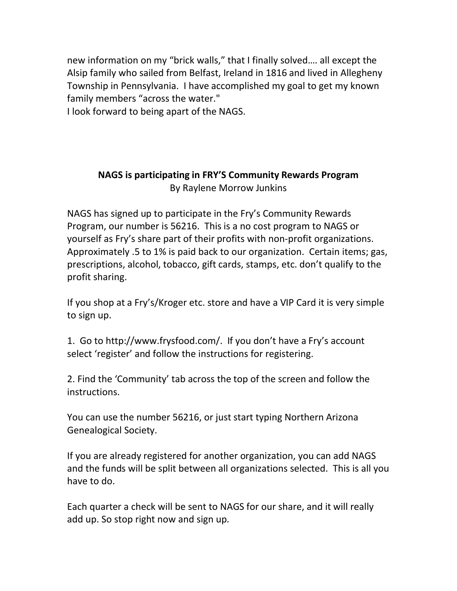new information on my "brick walls," that I finally solved…. all except the Alsip family who sailed from Belfast, Ireland in 1816 and lived in Allegheny Township in Pennsylvania. I have accomplished my goal to get my known family members "across the water."

I look forward to being apart of the NAGS.

### **NAGS is participating in FRY'S Community Rewards Program** By Raylene Morrow Junkins

NAGS has signed up to participate in the Fry's Community Rewards Program, our number is 56216. This is a no cost program to NAGS or yourself as Fry's share part of their profits with non-profit organizations. Approximately .5 to 1% is paid back to our organization. Certain items; gas, prescriptions, alcohol, tobacco, gift cards, stamps, etc. don't qualify to the profit sharing.

If you shop at a Fry's/Kroger etc. store and have a VIP Card it is very simple to sign up.

1. Go to http://www.frysfood.com/. If you don't have a Fry's account select 'register' and follow the instructions for registering.

2. Find the 'Community' tab across the top of the screen and follow the instructions.

You can use the number 56216, or just start typing Northern Arizona Genealogical Society.

If you are already registered for another organization, you can add NAGS and the funds will be split between all organizations selected. This is all you have to do.

Each quarter a check will be sent to NAGS for our share, and it will really add up. So stop right now and sign up.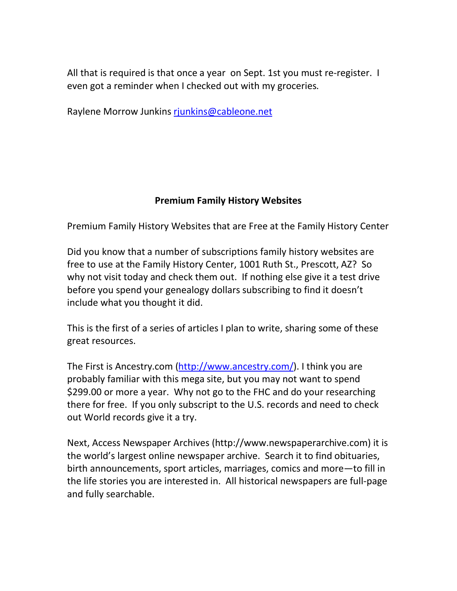All that is required is that once a year on Sept. 1st you must re-register. I even got a reminder when I checked out with my groceries.

Raylene Morrow Junkins rjunkins@cableone.net

#### **Premium Family History Websites**

Premium Family History Websites that are Free at the Family History Center

Did you know that a number of subscriptions family history websites are free to use at the Family History Center, 1001 Ruth St., Prescott, AZ? So why not visit today and check them out. If nothing else give it a test drive before you spend your genealogy dollars subscribing to find it doesn't include what you thought it did.

This is the first of a series of articles I plan to write, sharing some of these great resources.

The First is Ancestry.com (http://www.ancestry.com/). I think you are probably familiar with this mega site, but you may not want to spend \$299.00 or more a year. Why not go to the FHC and do your researching there for free. If you only subscript to the U.S. records and need to check out World records give it a try.

Next, Access Newspaper Archives (http://www.newspaperarchive.com) it is the world's largest online newspaper archive. Search it to find obituaries, birth announcements, sport articles, marriages, comics and more—to fill in the life stories you are interested in. All historical newspapers are full-page and fully searchable.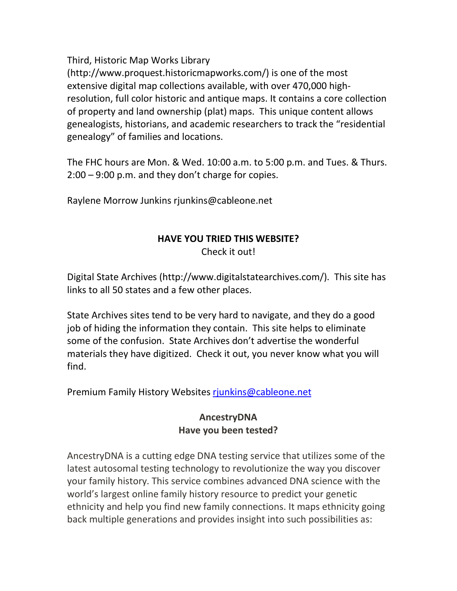Third, Historic Map Works Library

(http://www.proquest.historicmapworks.com/) is one of the most extensive digital map collections available, with over 470,000 highresolution, full color historic and antique maps. It contains a core collection of property and land ownership (plat) maps. This unique content allows genealogists, historians, and academic researchers to track the "residential genealogy" of families and locations.

The FHC hours are Mon. & Wed. 10:00 a.m. to 5:00 p.m. and Tues. & Thurs. 2:00 – 9:00 p.m. and they don't charge for copies.

Raylene Morrow Junkins rjunkins@cableone.net

#### **HAVE YOU TRIED THIS WEBSITE?**

Check it out!

Digital State Archives (http://www.digitalstatearchives.com/). This site has links to all 50 states and a few other places.

State Archives sites tend to be very hard to navigate, and they do a good job of hiding the information they contain. This site helps to eliminate some of the confusion. State Archives don't advertise the wonderful materials they have digitized. Check it out, you never know what you will find.

Premium Family History Websites rjunkins@cableone.net

#### **AncestryDNA Have you been tested?**

AncestryDNA is a cutting edge DNA testing service that utilizes some of the latest autosomal testing technology to revolutionize the way you discover your family history. This service combines advanced DNA science with the world's largest online family history resource to predict your genetic ethnicity and help you find new family connections. It maps ethnicity going back multiple generations and provides insight into such possibilities as: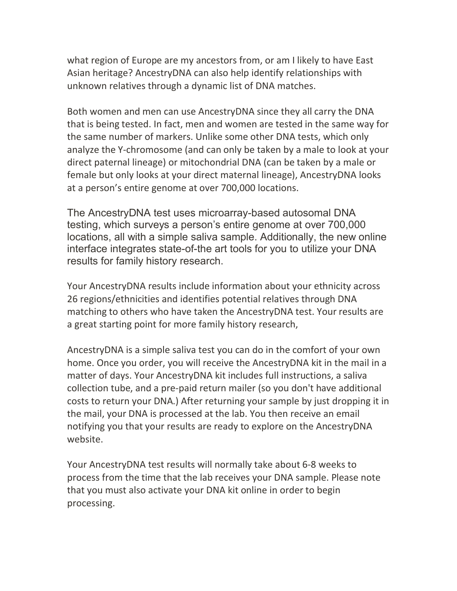what region of Europe are my ancestors from, or am I likely to have East Asian heritage? AncestryDNA can also help identify relationships with unknown relatives through a dynamic list of DNA matches.

Both women and men can use AncestryDNA since they all carry the DNA that is being tested. In fact, men and women are tested in the same way for the same number of markers. Unlike some other DNA tests, which only analyze the Y-chromosome (and can only be taken by a male to look at your direct paternal lineage) or mitochondrial DNA (can be taken by a male or female but only looks at your direct maternal lineage), AncestryDNA looks at a person's entire genome at over 700,000 locations.

The AncestryDNA test uses microarray-based autosomal DNA testing, which surveys a person's entire genome at over 700,000 locations, all with a simple saliva sample. Additionally, the new online interface integrates state-of-the art tools for you to utilize your DNA results for family history research.

Your AncestryDNA results include information about your ethnicity across 26 regions/ethnicities and identifies potential relatives through DNA matching to others who have taken the AncestryDNA test. Your results are a great starting point for more family history research,

AncestryDNA is a simple saliva test you can do in the comfort of your own home. Once you order, you will receive the AncestryDNA kit in the mail in a matter of days. Your AncestryDNA kit includes full instructions, a saliva collection tube, and a pre-paid return mailer (so you don't have additional costs to return your DNA.) After returning your sample by just dropping it in the mail, your DNA is processed at the lab. You then receive an email notifying you that your results are ready to explore on the AncestryDNA website.

Your AncestryDNA test results will normally take about 6-8 weeks to process from the time that the lab receives your DNA sample. Please note that you must also activate your DNA kit online in order to begin processing.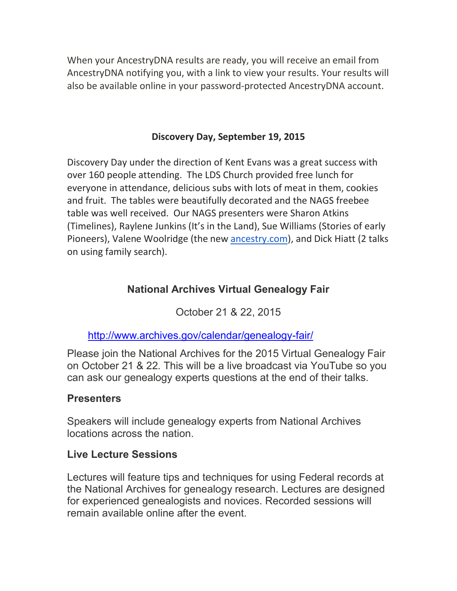When your AncestryDNA results are ready, you will receive an email from AncestryDNA notifying you, with a link to view your results. Your results will also be available online in your password-protected AncestryDNA account.

#### **Discovery Day, September 19, 2015**

Discovery Day under the direction of Kent Evans was a great success with over 160 people attending. The LDS Church provided free lunch for everyone in attendance, delicious subs with lots of meat in them, cookies and fruit. The tables were beautifully decorated and the NAGS freebee table was well received. Our NAGS presenters were Sharon Atkins (Timelines), Raylene Junkins (It's in the Land), Sue Williams (Stories of early Pioneers), Valene Woolridge (the new ancestry.com), and Dick Hiatt (2 talks on using family search).

### **National Archives Virtual Genealogy Fair**

October 21 & 22, 2015

http://www.archives.gov/calendar/genealogy-fair/

Please join the National Archives for the 2015 Virtual Genealogy Fair on October 21 & 22. This will be a live broadcast via YouTube so you can ask our genealogy experts questions at the end of their talks.

#### **Presenters**

Speakers will include genealogy experts from National Archives locations across the nation.

### **Live Lecture Sessions**

Lectures will feature tips and techniques for using Federal records at the National Archives for genealogy research. Lectures are designed for experienced genealogists and novices. Recorded sessions will remain available online after the event.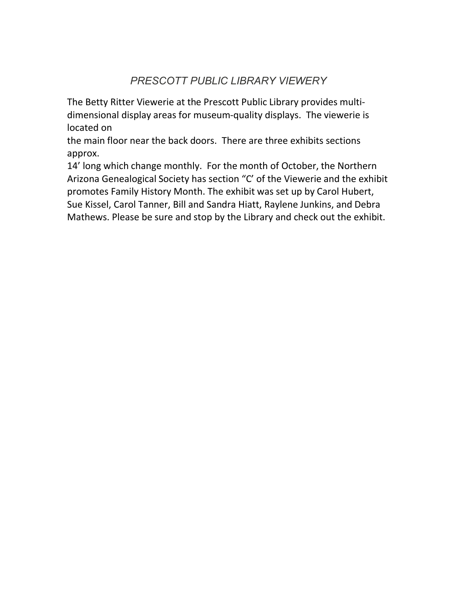## *PRESCOTT PUBLIC LIBRARY VIEWERY*

The Betty Ritter Viewerie at the Prescott Public Library provides multidimensional display areas for museum-quality displays. The viewerie is located on

the main floor near the back doors. There are three exhibits sections approx.

14' long which change monthly. For the month of October, the Northern Arizona Genealogical Society has section "C' of the Viewerie and the exhibit promotes Family History Month. The exhibit was set up by Carol Hubert, Sue Kissel, Carol Tanner, Bill and Sandra Hiatt, Raylene Junkins, and Debra Mathews. Please be sure and stop by the Library and check out the exhibit.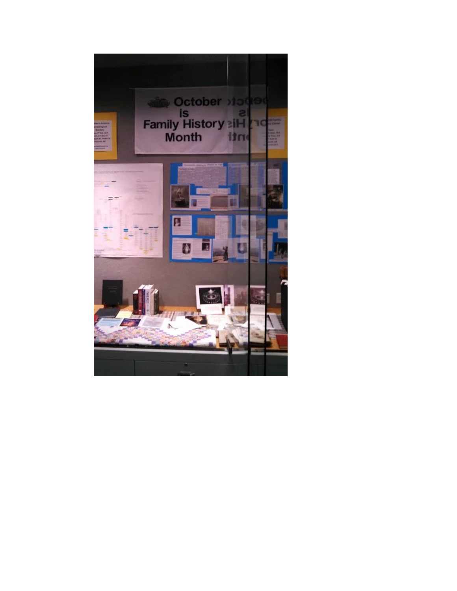